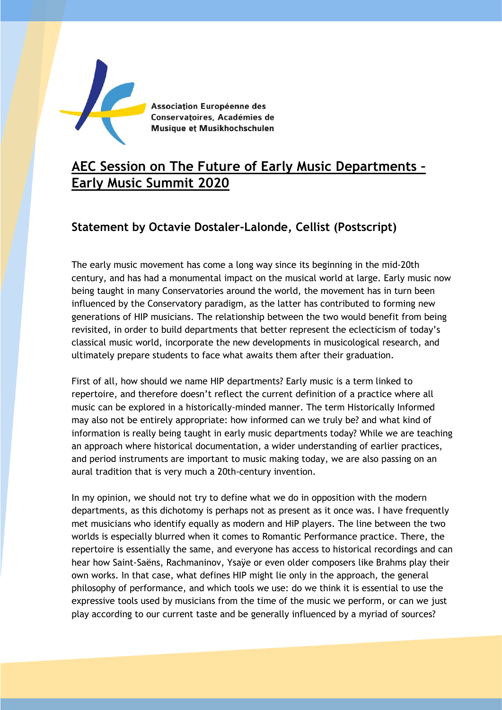

Association Européenne des Conservatoires, Académies de Musique et Musikhochschulen

## **AEC Session on The Future of Early Music Departments – Early Music Summit 2020**

## **Statement by Octavie Dostaler-Lalonde, Cellist (Postscript)**

The early music movement has come a long way since its beginning in the mid-20th century, and has had a monumental impact on the musical world at large. Early music now being taught in many Conservatories around the world, the movement has in turn been influenced by the Conservatory paradigm, as the latter has contributed to forming new generations of HIP musicians. The relationship between the two would benefit from being revisited, in order to build departments that better represent the eclecticism of today's classical music world, incorporate the new developments in musicological research, and ultimately prepare students to face what awaits them after their graduation.

First of all, how should we name HIP departments? Early music is a term linked to repertoire, and therefore doesn't reflect the current definition of a practice where all music can be explored in a historically-minded manner. The term Historically Informed may also not be entirely appropriate: how informed can we truly be? and what kind of information is really being taught in early music departments today? While we are teaching an approach where historical documentation, a wider understanding of earlier practices, and period instruments are important to music making today, we are also passing on an aural tradition that is very much a 20th-century invention.

In my opinion, we should not try to define what we do in opposition with the modern departments, as this dichotomy is perhaps not as present as it once was. I have frequently met musicians who identify equally as modern and HiP players. The line between the two worlds is especially blurred when it comes to Romantic Performance practice. There, the repertoire is essentially the same, and everyone has access to historical recordings and can hear how Saint-Saëns, Rachmaninov, Ysaÿe or even older composers like Brahms play their own works. In that case, what defines HIP might lie only in the approach, the general philosophy of performance, and which tools we use: do we think it is essential to use the expressive tools used by musicians from the time of the music we perform, or can we just play according to our current taste and be generally influenced by a myriad of sources?